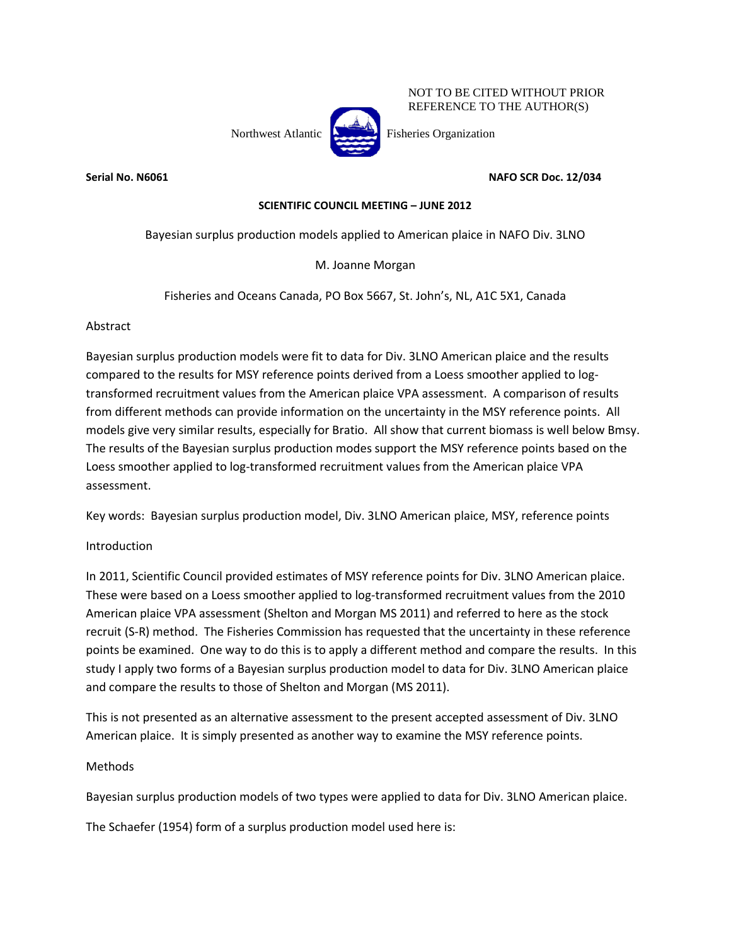

NOT TO BE CITED WITHOUT PRIOR REFERENCE TO THE AUTHOR(S)

**Serial No. N6061 No. N6061 NAFO SCR Doc. 12/034** 

# **SCIENTIFIC COUNCIL MEETING – JUNE 2012**

Bayesian surplus production models applied to American plaice in NAFO Div. 3LNO

M. Joanne Morgan

Fisheries and Oceans Canada, PO Box 5667, St. John's, NL, A1C 5X1, Canada

Abstract

Bayesian surplus production models were fit to data for Div. 3LNO American plaice and the results compared to the results for MSY reference points derived from a Loess smoother applied to logtransformed recruitment values from the American plaice VPA assessment. A comparison of results from different methods can provide information on the uncertainty in the MSY reference points. All models give very similar results, especially for Bratio. All show that current biomass is well below Bmsy. The results of the Bayesian surplus production modes support the MSY reference points based on the Loess smoother applied to log-transformed recruitment values from the American plaice VPA assessment.

Key words: Bayesian surplus production model, Div. 3LNO American plaice, MSY, reference points

Introduction

In 2011, Scientific Council provided estimates of MSY reference points for Div. 3LNO American plaice. These were based on a Loess smoother applied to log-transformed recruitment values from the 2010 American plaice VPA assessment (Shelton and Morgan MS 2011) and referred to here as the stock recruit (S-R) method. The Fisheries Commission has requested that the uncertainty in these reference points be examined. One way to do this is to apply a different method and compare the results. In this study I apply two forms of a Bayesian surplus production model to data for Div. 3LNO American plaice and compare the results to those of Shelton and Morgan (MS 2011).

This is not presented as an alternative assessment to the present accepted assessment of Div. 3LNO American plaice. It is simply presented as another way to examine the MSY reference points.

## Methods

Bayesian surplus production models of two types were applied to data for Div. 3LNO American plaice.

The Schaefer (1954) form of a surplus production model used here is: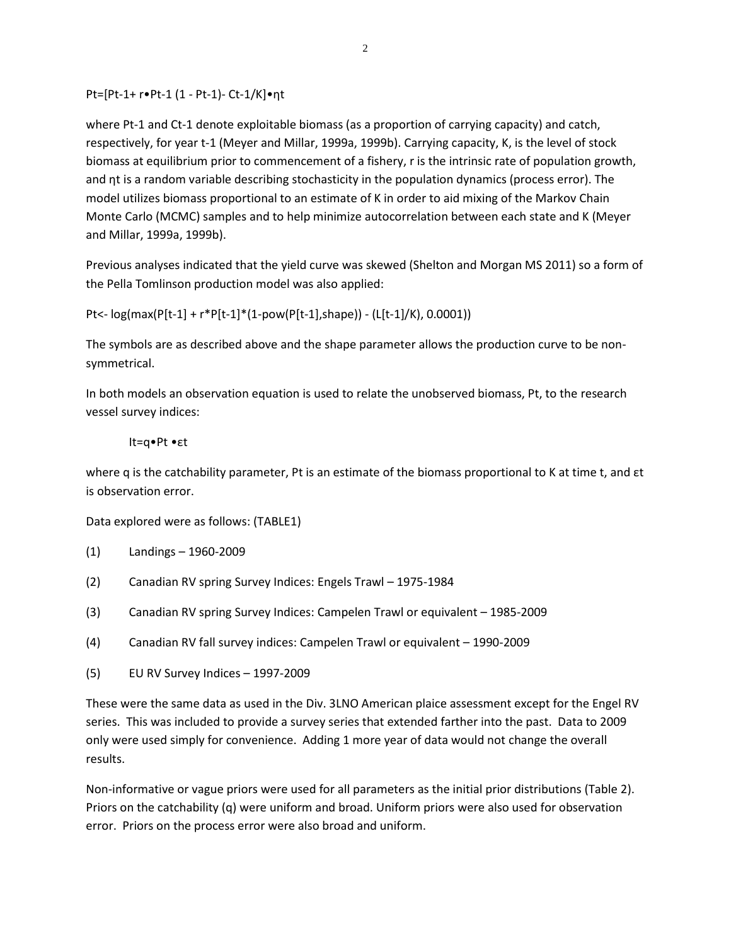Pt=[Pt-1+ r•Pt-1 (1 - Pt-1)- Ct-1/K]•ηt

where Pt-1 and Ct-1 denote exploitable biomass (as a proportion of carrying capacity) and catch, respectively, for year t-1 (Meyer and Millar, 1999a, 1999b). Carrying capacity, K, is the level of stock biomass at equilibrium prior to commencement of a fishery, r is the intrinsic rate of population growth, and ηt is a random variable describing stochasticity in the population dynamics (process error). The model utilizes biomass proportional to an estimate of K in order to aid mixing of the Markov Chain Monte Carlo (MCMC) samples and to help minimize autocorrelation between each state and K (Meyer and Millar, 1999a, 1999b).

Previous analyses indicated that the yield curve was skewed (Shelton and Morgan MS 2011) so a form of the Pella Tomlinson production model was also applied:

Pt<- log(max(P[t-1] + r\*P[t-1]\*(1-pow(P[t-1],shape)) - (L[t-1]/K), 0.0001))

The symbols are as described above and the shape parameter allows the production curve to be nonsymmetrical.

In both models an observation equation is used to relate the unobserved biomass, Pt, to the research vessel survey indices:

### It=q•Pt •εt

where q is the catchability parameter, Pt is an estimate of the biomass proportional to K at time t, and  $\epsilon t$ is observation error.

Data explored were as follows: (TABLE1)

- (1) Landings 1960-2009
- (2) Canadian RV spring Survey Indices: Engels Trawl 1975-1984
- (3) Canadian RV spring Survey Indices: Campelen Trawl or equivalent 1985-2009
- (4) Canadian RV fall survey indices: Campelen Trawl or equivalent 1990-2009
- (5) EU RV Survey Indices 1997-2009

These were the same data as used in the Div. 3LNO American plaice assessment except for the Engel RV series. This was included to provide a survey series that extended farther into the past. Data to 2009 only were used simply for convenience. Adding 1 more year of data would not change the overall results.

Non-informative or vague priors were used for all parameters as the initial prior distributions (Table 2). Priors on the catchability (q) were uniform and broad. Uniform priors were also used for observation error. Priors on the process error were also broad and uniform.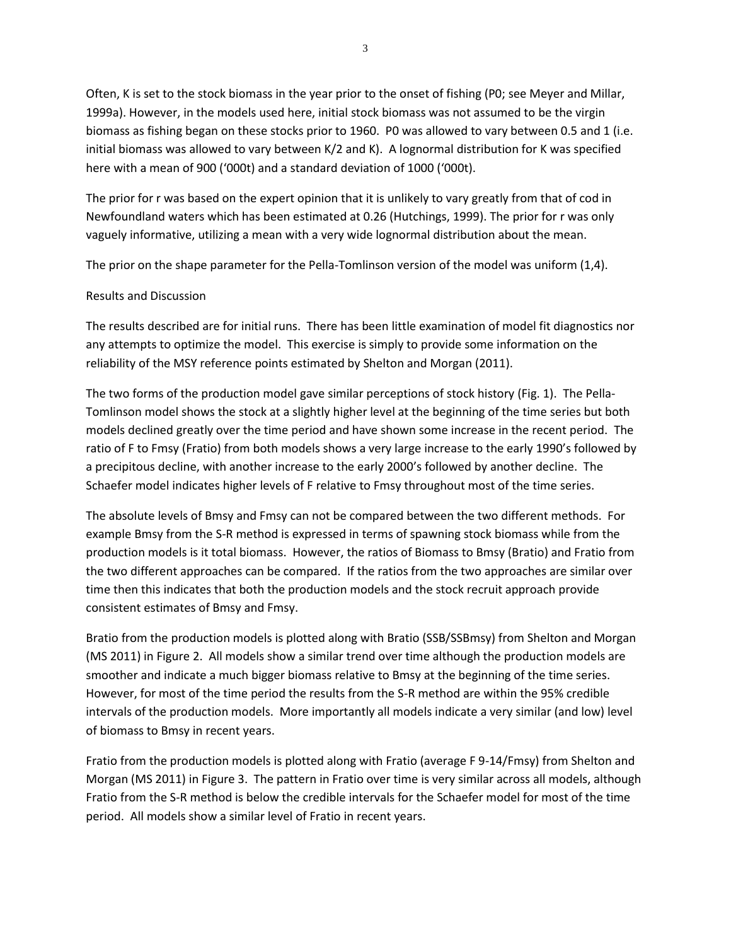Often, K is set to the stock biomass in the year prior to the onset of fishing (P0; see Meyer and Millar, 1999a). However, in the models used here, initial stock biomass was not assumed to be the virgin biomass as fishing began on these stocks prior to 1960. P0 was allowed to vary between 0.5 and 1 (i.e. initial biomass was allowed to vary between K/2 and K). A lognormal distribution for K was specified here with a mean of 900 ('000t) and a standard deviation of 1000 ('000t).

The prior for r was based on the expert opinion that it is unlikely to vary greatly from that of cod in Newfoundland waters which has been estimated at 0.26 (Hutchings, 1999). The prior for r was only vaguely informative, utilizing a mean with a very wide lognormal distribution about the mean.

The prior on the shape parameter for the Pella-Tomlinson version of the model was uniform (1,4).

## Results and Discussion

The results described are for initial runs. There has been little examination of model fit diagnostics nor any attempts to optimize the model. This exercise is simply to provide some information on the reliability of the MSY reference points estimated by Shelton and Morgan (2011).

The two forms of the production model gave similar perceptions of stock history (Fig. 1). The Pella-Tomlinson model shows the stock at a slightly higher level at the beginning of the time series but both models declined greatly over the time period and have shown some increase in the recent period. The ratio of F to Fmsy (Fratio) from both models shows a very large increase to the early 1990's followed by a precipitous decline, with another increase to the early 2000's followed by another decline. The Schaefer model indicates higher levels of F relative to Fmsy throughout most of the time series.

The absolute levels of Bmsy and Fmsy can not be compared between the two different methods. For example Bmsy from the S-R method is expressed in terms of spawning stock biomass while from the production models is it total biomass. However, the ratios of Biomass to Bmsy (Bratio) and Fratio from the two different approaches can be compared. If the ratios from the two approaches are similar over time then this indicates that both the production models and the stock recruit approach provide consistent estimates of Bmsy and Fmsy.

Bratio from the production models is plotted along with Bratio (SSB/SSBmsy) from Shelton and Morgan (MS 2011) in Figure 2. All models show a similar trend over time although the production models are smoother and indicate a much bigger biomass relative to Bmsy at the beginning of the time series. However, for most of the time period the results from the S-R method are within the 95% credible intervals of the production models. More importantly all models indicate a very similar (and low) level of biomass to Bmsy in recent years.

Fratio from the production models is plotted along with Fratio (average F 9-14/Fmsy) from Shelton and Morgan (MS 2011) in Figure 3. The pattern in Fratio over time is very similar across all models, although Fratio from the S-R method is below the credible intervals for the Schaefer model for most of the time period. All models show a similar level of Fratio in recent years.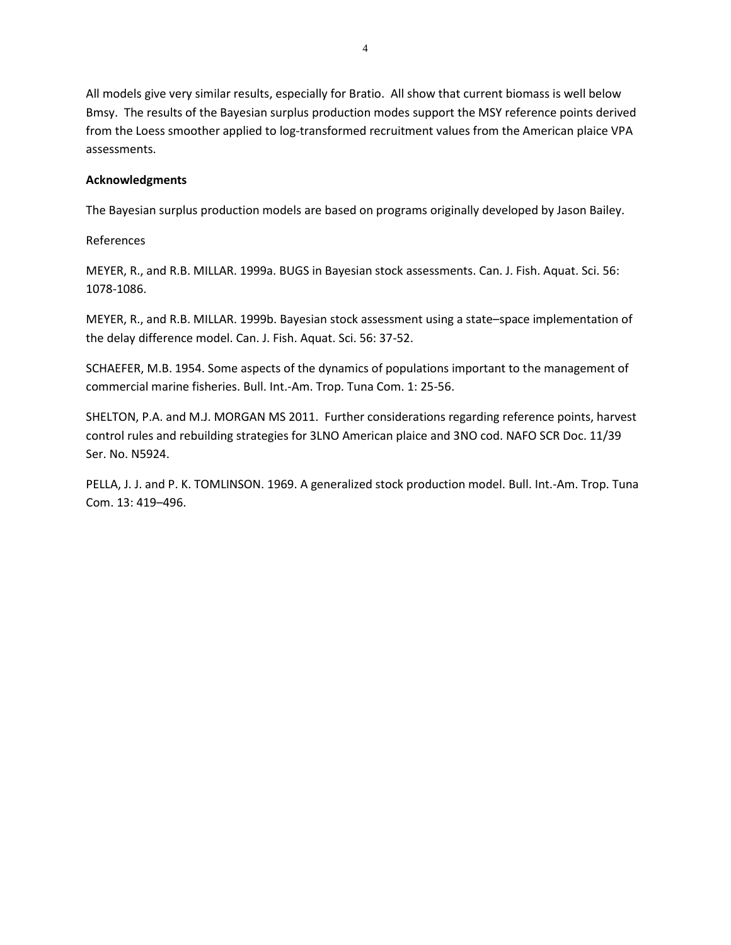All models give very similar results, especially for Bratio. All show that current biomass is well below Bmsy. The results of the Bayesian surplus production modes support the MSY reference points derived from the Loess smoother applied to log-transformed recruitment values from the American plaice VPA assessments.

## **Acknowledgments**

The Bayesian surplus production models are based on programs originally developed by Jason Bailey.

References

MEYER, R., and R.B. MILLAR. 1999a. BUGS in Bayesian stock assessments. Can. J. Fish. Aquat. Sci. 56: 1078-1086.

MEYER, R., and R.B. MILLAR. 1999b. Bayesian stock assessment using a state–space implementation of the delay difference model. Can. J. Fish. Aquat. Sci. 56: 37-52.

SCHAEFER, M.B. 1954. Some aspects of the dynamics of populations important to the management of commercial marine fisheries. Bull. Int.-Am. Trop. Tuna Com. 1: 25-56.

SHELTON, P.A. and M.J. MORGAN MS 2011. Further considerations regarding reference points, harvest control rules and rebuilding strategies for 3LNO American plaice and 3NO cod. NAFO SCR Doc. 11/39 Ser. No. N5924.

PELLA, J. J. and P. K. TOMLINSON. 1969. A generalized stock production model. Bull. Int.-Am. Trop. Tuna Com. 13: 419–496.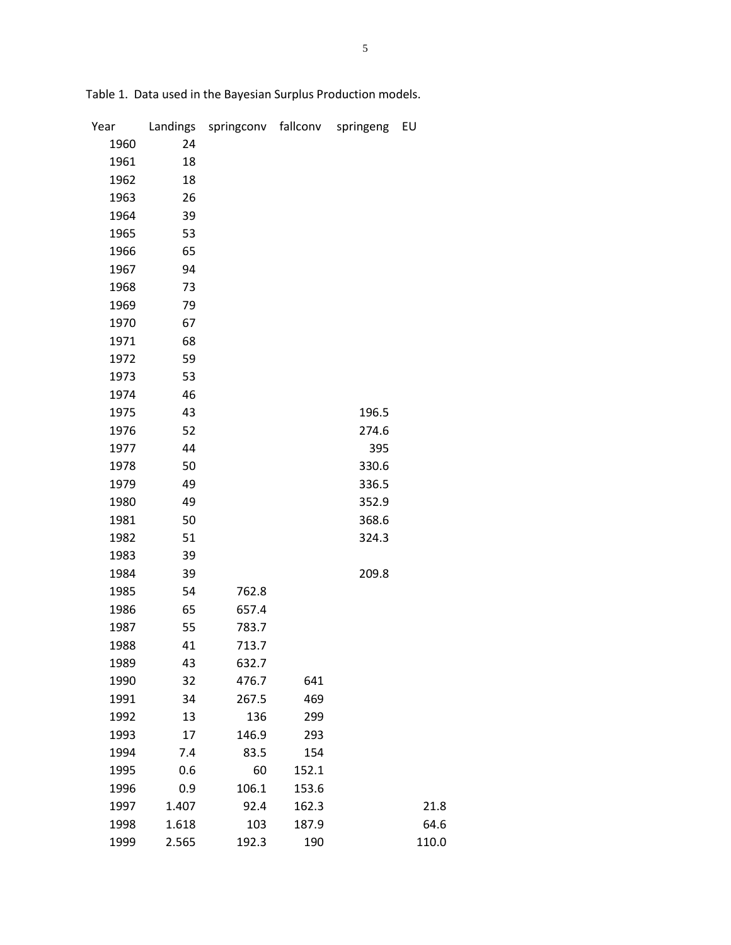| Year | Landings | springconv | fallconv | springeng | EU    |
|------|----------|------------|----------|-----------|-------|
| 1960 | 24       |            |          |           |       |
| 1961 | 18       |            |          |           |       |
| 1962 | 18       |            |          |           |       |
| 1963 | 26       |            |          |           |       |
| 1964 | 39       |            |          |           |       |
| 1965 | 53       |            |          |           |       |
| 1966 | 65       |            |          |           |       |
| 1967 | 94       |            |          |           |       |
| 1968 | 73       |            |          |           |       |
| 1969 | 79       |            |          |           |       |
| 1970 | 67       |            |          |           |       |
| 1971 | 68       |            |          |           |       |
| 1972 | 59       |            |          |           |       |
| 1973 | 53       |            |          |           |       |
| 1974 | 46       |            |          |           |       |
| 1975 | 43       |            |          | 196.5     |       |
| 1976 | 52       |            |          | 274.6     |       |
| 1977 | 44       |            |          | 395       |       |
| 1978 | 50       |            |          | 330.6     |       |
| 1979 | 49       |            |          | 336.5     |       |
| 1980 | 49       |            |          | 352.9     |       |
| 1981 | 50       |            |          | 368.6     |       |
| 1982 | 51       |            |          | 324.3     |       |
| 1983 | 39       |            |          |           |       |
| 1984 | 39       |            |          | 209.8     |       |
| 1985 | 54       | 762.8      |          |           |       |
| 1986 | 65       | 657.4      |          |           |       |
| 1987 | 55       | 783.7      |          |           |       |
| 1988 | 41       | 713.7      |          |           |       |
| 1989 | 43       | 632.7      |          |           |       |
| 1990 | 32       | 476.7      | 641      |           |       |
| 1991 | 34       | 267.5      | 469      |           |       |
| 1992 | 13       | 136        | 299      |           |       |
| 1993 | 17       | 146.9      | 293      |           |       |
| 1994 | 7.4      | 83.5       | 154      |           |       |
| 1995 | 0.6      | 60         | 152.1    |           |       |
| 1996 | 0.9      | 106.1      | 153.6    |           |       |
| 1997 | 1.407    | 92.4       | 162.3    |           | 21.8  |
| 1998 | 1.618    | 103        | 187.9    |           | 64.6  |
| 1999 | 2.565    | 192.3      | 190      |           | 110.0 |

Table 1. Data used in the Bayesian Surplus Production models.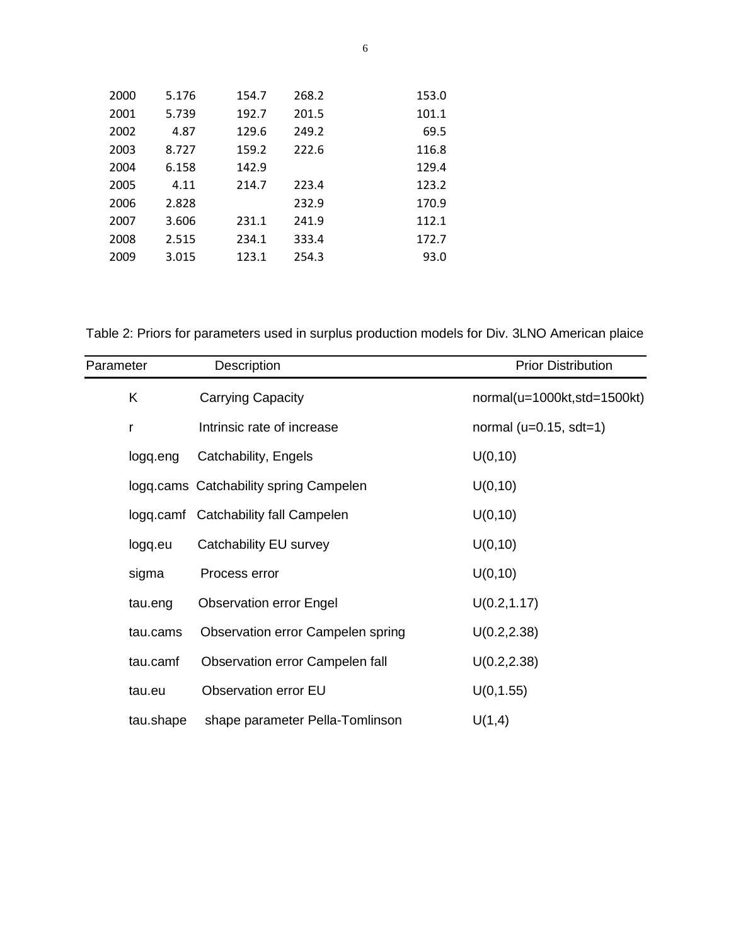| 2000 | 5.176 | 154.7 | 268.2 | 153.0 |
|------|-------|-------|-------|-------|
| 2001 | 5.739 | 192.7 | 201.5 | 101.1 |
| 2002 | 4.87  | 129.6 | 249.2 | 69.5  |
| 2003 | 8.727 | 159.2 | 222.6 | 116.8 |
| 2004 | 6.158 | 142.9 |       | 129.4 |
| 2005 | 4.11  | 214.7 | 223.4 | 123.2 |
| 2006 | 2.828 |       | 232.9 | 170.9 |
| 2007 | 3.606 | 231.1 | 241.9 | 112.1 |
| 2008 | 2.515 | 234.1 | 333.4 | 172.7 |
| 2009 | 3.015 | 123.1 | 254.3 | 93.0  |
|      |       |       |       |       |

Table 2: Priors for parameters used in surplus production models for Div. 3LNO American plaice

| Parameter | Description                            | <b>Prior Distribution</b>   |
|-----------|----------------------------------------|-----------------------------|
| Κ         | Carrying Capacity                      | normal(u=1000kt,std=1500kt) |
| r         | Intrinsic rate of increase             | normal ( $u=0.15$ , sdt=1)  |
| logg.eng  | Catchability, Engels                   | U(0, 10)                    |
|           | logg.cams Catchability spring Campelen | U(0, 10)                    |
|           | logq.camf Catchability fall Campelen   | U(0, 10)                    |
| logg.eu   | Catchability EU survey                 | U(0, 10)                    |
| sigma     | Process error                          | U(0, 10)                    |
| tau.eng   | <b>Observation error Engel</b>         | U(0.2, 1.17)                |
| tau.cams  | Observation error Campelen spring      | U(0.2, 2.38)                |
| tau.camf  | Observation error Campelen fall        | U(0.2, 2.38)                |
| tau.eu    | <b>Observation error EU</b>            | U(0, 1.55)                  |
| tau.shape | shape parameter Pella-Tomlinson        | U(1,4)                      |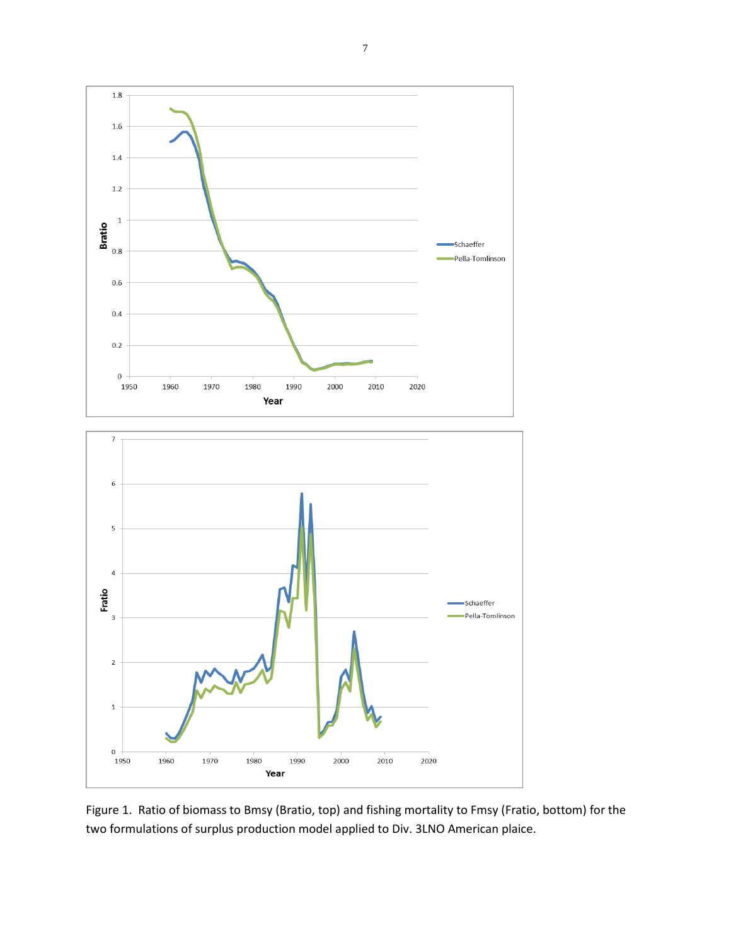

Figure 1. Ratio of biomass to Bmsy (Bratio, top) and fishing mortality to Fmsy (Fratio, bottom) for the two formulations of surplus production model applied to Div. 3LNO American plaice.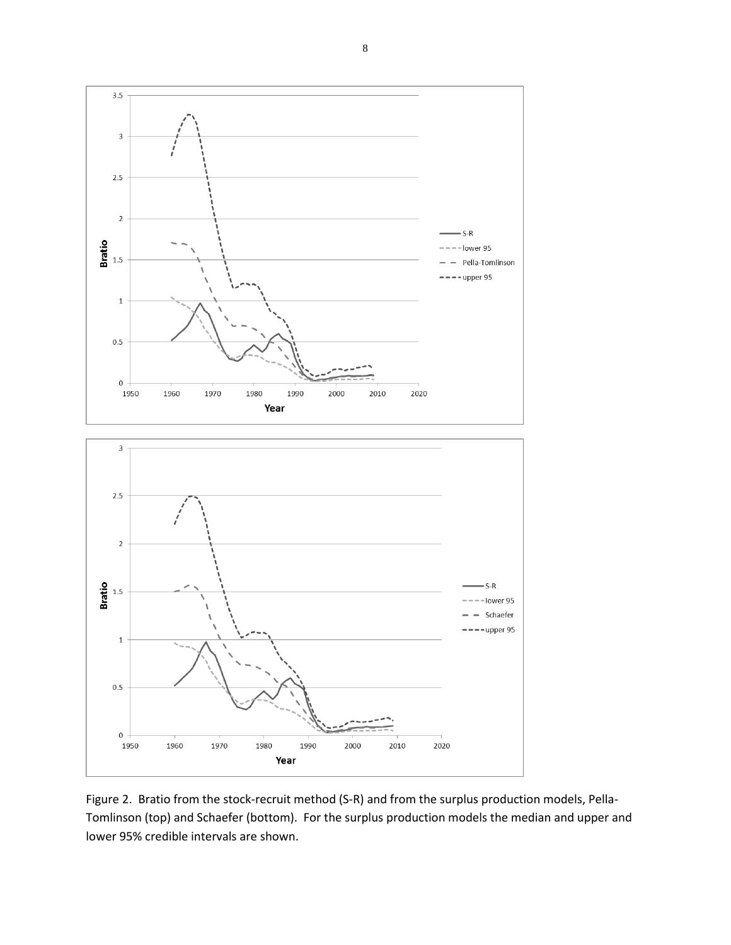$3.5$  $\overline{3}$  $2.5\,$  $\mathbf 2$  $S-R$  $rac{1}{\sqrt{2}}$  1.5 -- lower 95 Pella-Tomlinson  $---upper 95$  $\,1\,$  $0.5\,$  $\,0\,$ 1970 1980 2010 2020 1950 1960 1990 2000 Year  $_{\rm 3}$  $2.5\,$ 



Figure 2. Bratio from the stock-recruit method (S-R) and from the surplus production models, Pella-Tomlinson (top) and Schaefer (bottom). For the surplus production models the median and upper and lower 95% credible intervals are shown.